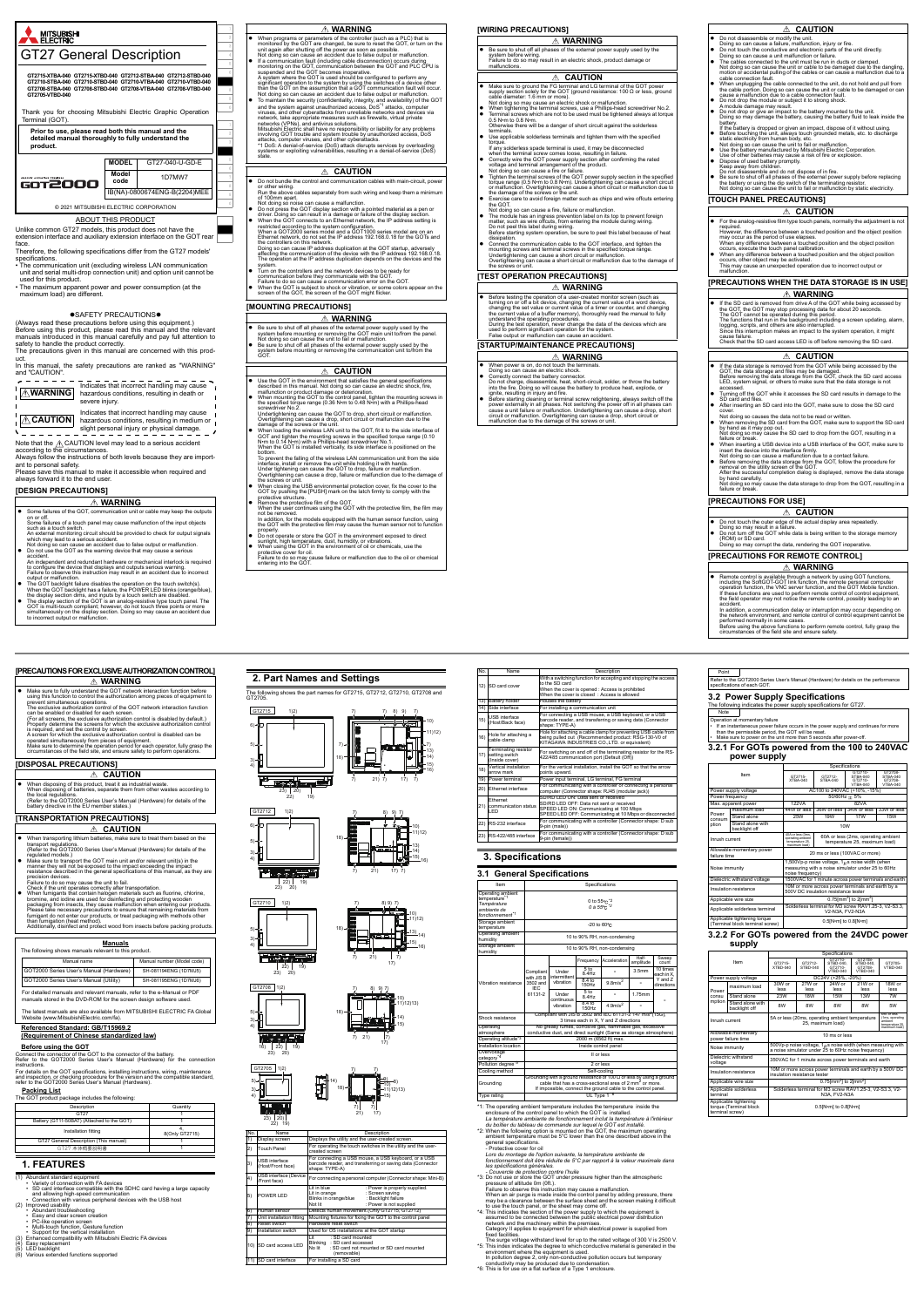

GOT is multi-touch compliant; however, do not touch three points or more simultaneously on the display section. Doing so may cause an accident due to incorrect output or malfunction.

## **[MOUNTING PRECAUTIONS]**

- **WARNING**
- Be sure to shut off all phases of the external power supply used by the<br>system before mounting or removing the GOT main unit to/from the panel.<br>Not doing so can cause the unit of all or malfunction.<br>De sure to shut off
- Do not bundle the control and communication cables with main-circuit, power or other wiring. Run the above cables separately from such wiring and keep them a minimum
- of 100mm apart. Not doing so noise can cause a malfunction.
- Do not press the GOT display section with a pointed material as a pen or<br>driver. Doing so can result in a damage or failure of the display section.<br>● When the GOT connects to an Ethernet network, the IP address setting
- 
- Doing so can cause IP address duplication at the GOT startup, adversely affecting the communication of the device with the IP address 192.168.0.18. The operation at the IP address duplication depends on the devices and the
- system. Turn on the controllers and the network devices to be ready for communication before they communicate with the GOT. Failure to do so can cause a communication error on the GOT.
- When the GOT is subject to shock or vibration, or some colors appear on the screen of the GOT, the screen of the GOT might flicker.

- When power is on, do not touch the terminals.
- 
- Doing so can cause an electric shock.<br>• Correctly connect the battery connector.<br>Do not charge, disassemble, heat, short-circuit, solder, or throw the battery<br>into the fire. Doing so will cause the battery to produce heat,
- 
- Before starting cleaning or terminal screw retightening, always switch off the power externally in all phases. Not switching the power off in all phases can clause cause a unit failure or malfunction. Undertightening ca

Be sure to shut off all phases of the external power supply u system before wiring. Failure to do so may result in an electric shock, product damage or malfunctions. **WARNING**

- $\overline{\mathbf{e}}$  film type touch panels, nor required.<br>However, the difference between a touched position and the object position<br>may occur as the period of use elapses.<br>When any difference between a touched position and the object position<br>occurs, execute the touch
- 
- When any difference between a touched position and the object position occurs, other object may be activated. This may cause an unexpected operation due to incorrect output or malfunction.

- If the SD card is removed from drive A of the GOT while being accessed by<br>The GOT, the GOT may stop processing data for about 20 seconds.<br>The GOT cannot be operated during this period.<br>The functions that run in the back
- 
- cause failure. Check that the SD card access LED is off before removing the SD card.

- Use the GOT in the environment that satisfies the general specifications
- 
- described in this manual. Not doing so can cause an electric shock, fire, maltunction or product damage or deterioration.<br>When mounting the GOT to the control panel, tighten the mounting screws in<br>the specified forque rang
	-
- To prevent the failing of the wireless LAN communication unit from the side<br>interface, install or remove the unit while holding it with hands.<br>Under tightening can cause the GOT to drop, failure or malfunction.<br>Overtighte
- GOT by pushing the [PUSH] mark on the latch firmly to comply with the<br>• protective structure.<br>• Remove the protective film of the GOT.<br>When the user continues using the GOT with the protective film, the film may
	- not be removed. In addition, for the models equipped with the human sensor function, using the GOT with the protective film may cause the human sensor not to function
- properly. Do not operate or store the GOT in the environment exposed to direct
- sunlight, high temperature, dust, humidity, or vibrations. When using the GOT in the environment of oil or chemicals, use the
- If the data storage is removed from the GOT while being accessed by the GOT, the data storage and files may be damaged.<br>Before removing the data storage from the GOT, check the SD card access<br>LED, system signal, or othe
- 
- accessed. Turning off the GOT while it accesses the SD card results in damage to the SD card and files. After inserting an SD card into the GOT, make sure to close the SD card
- cover. Not doing so causes the data not to be read or written.
- When removing the SD card from the GOT, make sure to support the SD card by hand as it may pop out. Not doing so may cause the SD card to drop from the GOT, resulting in a failure or break.

protective cover for oil. Failure to do so may cause failure or malfunction due to the oil or chemical entering into the GOT.

#### **WARNING**

- When programs or parameters of the controller (such as a PLC) that is<br>monitored by the GOT are changed, be sure to reset the GOT, or turn on the<br>unit again after shutting off the power as soon as possible.<br>Not doing so
- 
- If a communication fault (including cable disconnection) occurs during<br>monitoring on the GOT, communication between the GOT and PLC GPU is<br>suspended and the GOT becomes inoperative.<br>A system where the GOT is used should
- and the system against unauthorized access, DoS<sup>-1</sup> attacks, computer viruses, and other cyberattacks from unreliable networks and devices via network, take appropriate measures such as firewalls, virtual private networks,
- 

## **CAUTION**

## **CAUTION**

#### **[WIRING PRECAUTIONS]**

## **[TEST OPERATION PRECAUTIONS]**

 The following shows manuals relevant to this product. Manual name Manual number (Model code) GOT2000 Series User's Manual (Hardware) SH-081194ENG (1D7MJ5) GOT2000 Series User's Manual (Utility)

For detailed manuals and relevant manuals, refer to the e-Manual or PDF manuals stored in the DVD-ROM for the screen design software used.

- **WARNING**
- Before testing the operation of a user-created monitor screen (such as<br>turning on or off a bit device, changing the current value of a word device,<br>changing the est value or current value of a timer or counter, and chan
- **[STARTUP/MAINTENANCE PRECAUTIONS]**

- <sup>4</sup>1: The operating ambient temperature includes the temperature inside the<br>enclosure of the control panel to which the GOT is installed.<br>La température ambiante de fonctionnement inclut la température à l'intérieur<br>du bo
- ambient temperature must be 5°C lower than the one described above in the
- 

# **CAUTION**

- Make sure to ground the FG terminal and LG terminal of the GOT power<br>supply section solely for the GOT (ground resistance: 100 Ω or less, ground<br>cable diameter: 1.6 mm or more).<br>Not doing so may cause an electric shock
- 
- ust minutare.<br>Use applicable solderless terminals and tighten them with the specified<br>trany solderless spade terminal is used, it may be disconnected
- 
- torque.<br>Tamp solderless spade terminal is used, it may be disconnected<br>when the terminal screw comes loose, resulting in failure.<br>Correctly wire the GOT power supply section after confirming the rated<br>voltage and terminal
- 
- Tighten the terminal screws of the GOT power supply section in the specified torque range (0.5 Nm to 0.8 Nm). Undertightening can cause a short circuit or malfunction. Overtightening can cause a short circuit or malfunc
- 
- The module has an ingress prevention label on its top to prevent foreign<br>matter, such as wire offcuts, from entering the module during wiring.<br>Do not peel this label during wiring.<br>Before starting system operation, be s
- dissipation.<br>
Connect the communication cable to the GOT interface, and tighten the<br>
mounting screws and terminal screws in the specified torque range.<br>
Undertightening can cause a short circuit or malfunction.<br>
Undertight

## **WARNING**

# **[TOUCH PANEL PRECAUTIONS]**

**[PRECAUTIONS WHEN THE DATA STORAGE IS IN USE]**

**[PRECAUTIONS FOR USE]**

**[PRECAUTIONS FOR REMOTE CONTROL]**

13) Battery holder Houses the battery 14) Side interface For installing a communication unit

general specifications.<br>- Protective cover for oil<br>Lors du montage de l'option suivante, la température ambiante de<br>fonctionnement doit étre réduite de 5°C par rapport à la valeur maximale dans<br>les spécifications générales *Concumentant cource de reunie de production de protection contre les spécifications générales.<br>
Couvercle de protection contre l'huile<br>
<sup>2</sup> Couvercle de protection contre l'huile<br>
<sup>2</sup> Couvercle de protection contre GOT un* 

- 
- 

3: Do not use or store the GOT under pressure higher than the atmospheric<br>pressure of altitude 0m (0ft.)<br>Failure to observe this instruction may cause a malfunction.<br>When an air purge is made inside the control panel by ad

to use the touch panel, or the sheet may come off.<br>
"At This indicates the section of the power supply to which the equipment is<br>
assumed to be connected between the public electrical power distribution<br>
network and the ma

- fixed facilities.<br>The surge voltage withstand level for up to the rated voltage of 300 V is 2500 V.<br>The singe voltage streament where the equipment is used.<br>
"5: This index indicates the equipment is used.<br>
In pollution de
- 
- 

Hole for attaching a cable clamp for preventing USB cable from being pulled out (Recommended product: RSG-130-V0 of **REGIMMINIST PRODUCT**<br>STRIES CO.,LTD. or e

18) Vertical installation arrow mark

points upward. 19) wer terminal Power input terminal, LG terminal, FG<br>19) Power terminal Por communicating with a controller or

erating ambient the conduction of the 10 to 90% RH, non-condensing<br>midity Storage ambient humidity 10 to 90% RH, non-condensing maximum load 44W or less 36W or less 34W or less 33W or less Stand alone 25W 19W 17W 15W

Operation at momentary failure<br>• If an instantaneous power failure occurs in the power supply and continues for more<br>• than the permissible period, the GOT will be reset.<br>• Make sure to power on the unit more than 5 second

<u>Fer to the G</u>OT2000 Series User's Manual (Hardware) for details on the performance

## *A* CAUTION

noise frequency) Dielectric withstand voltage 1500VAC for 1 minute across power terminals and earth

INSULATION TERMINAL ACTORS POWER TERMINALS AND CONTROL TERMINALS AND CONTROL TERMINALS AND CONTROL TERMINALS AND CONTROL TERMINALS AND CONTROL TERMINALS AND CONTROL TERMINALS AND CONTROL TERMINALS AND CONTROL TERMINALS AND 500V DC insulation resistance tester

 $(0.5[N+m]$  to  $0.8[N+m]$ 

pplicable wire size  $\vert$  0.75[mm<sup>2</sup>] to 2[in Applicable solderless terminal Solderless terminal for M3 screw RAV1.25-3, V2-S3.3, V2-N3A, FV2-N3A

 When inserting a USB device into a USB interface of the GOT, make sure to insert the device into the interface firmly. Not doing so can cause a malfunction due to a contact failure. Before removing the data storage from the GOT, follow the procedure for removal on the utility screen of the GOT. After the successful completion dialog is displayed, remove the data storage by hand carefully. Not doing so may cause the data storage to drop from the GOT, resulting in a failure or break.

## **CAUTION**

- 
- 
- Do not disassemble or modify the unit.<br>Doing so can cause a failure, malfunction, injury or fire.<br>● Do not touch the conductive and electronic parts of the unit directly.<br>Doing so can cause a unit malfunction or failure Not doing so can cause the unit or cable to be damaged due to the dangling, motion or accidental pulling of the cables or can cause a malfunction due to a
- cable connection fault.<br>
Cable connected to the unit, do not hold and pull from<br>
the cable porton. Doing so can cause the unit or cable to be damaged or can<br>
cause a malfunction due to a cable connection fault.<br>
Do not dro
- 
- -
- 
- 
- 
- battery.<br>
If the battery is dropped or given an impact, dispose of it without using.<br>
If the battery is dropped or given an impact, dispose of it without using.<br>
Between touching the unit, always touch grounded metals, etc

#### **WARNING**

## **CAUTION**

**CAUTION**

● Remote control is available through a network by using GOT functions, including the SoftGOT-GOT link function, the remote personal computer operation function, the VNC server function, and the GOT Mobile function, the W

**WARNING**

accident.<br>In addition, a communication delay or interruption may occur depending on<br>the network environment, and remote control of control equipment cannot be<br>performed normally in some cases.<br>Before using the above functi

## **Manuals**

The latest manuals are also available from MITSUBISHI ELECTRIC FA Global Website (www.MitsubishiElectric.com/fa).

#### **Referenced Standard: GB/T15969.2 (Requirement of Chinese standardized law)**

#### **Before using the GOT**

Connect the connector of the GOT to the connector of the battery. Refer to the GOT2000 Series User's Manual (Hardware) for the connection

instructions.<br>For details on the GOT specifications, installing instructions, wiring, maintenance<br>and inspection, or checking procedure for the version and the compatible standard,<br>refer to the GOT2000 Series User's Manual

- Make sure to fully understand the GOT network interaction function before using this function to control the authorization among pieces of equipment to prevent simultaneous operations. The exclusive authorization control of the GOT network interaction function can be enabled or disabled for each screen.
- (For all screens, the exclusive authorization control is disabled by default.) Properly determine the screens for which the exclusive authorization control is required, and set the control by screen.
- 
- A screen for which the exclusive authorization control is disabled can be<br>operated simultaneously from pieces of equipment.<br>Make sure to determine the operation period for each operator, fully grasp the<br>circumstances of th
- **[DISPOSAL PRECAUTIONS]**

#### **Packing List**

duct package includes the following:

## **1. FEATURES**

- 
- (1) Abundant standard equipment<br>•• Variety of connection with FA devices<br>• SD card interface compatible with the SDHC card having a large capacity<br>• Connection with various peripheral devices with the USB host<br>• Connection
- 
- 
- 
- (2) Improved usability Abundant troubleshooting Easy and clear screen creation PC-like operation screen Multi-touch function, Gesture function
- 
- 
- 
- Support for the vertical installation (3) Enhanced compatibility with Mitsubishi Electric FA devices (4) Easy replacement
- 
- LED backlight
- t<br>ided functions supported<br>.
- When disposing of this product, treat it as industrial waste. When disposing of batteries, separate them from other wastes according to the local regulations. (Refer to the GOT2000 Series User's Manual (Hardware) for details of the battery directive in the EU member states.)
- **[TRANSPORTATION PRECAUTIONS]**

| [PRECAUTIONS FOR EXCLUSIVE AUTHORIZATION CONTROL]                           |  |
|-----------------------------------------------------------------------------|--|
| ∆ WARNING                                                                   |  |
| • Make sure to fully understand the GOT network interaction function before |  |

- When transporting lithium batteries, make sure to treat them based on the transport regulations. (Refer to the GOT2000 Series User's Manual (Hardware) for details of the
- 
- regulated models.)<br>● Make sure to transport the GOT main unit and/or relevant unit(s) in the<br>manner they will not be exposed to the impact exceeding the impact<br>resistance described in the general specifications of this ma precision devices.

## precision devices.<br>Failure to do so may cause the unit to fail.<br>Check if the unit operates correctly after transportation

- 
- Check if the unit operates correctly after transportation.<br>
 When furnigants that contain halogen materials such as fluorine, chlorine, bromine, and oldine are used for disinfecting and protecting ovoden<br>
packaging from i

| Description                                | Quantity       |
|--------------------------------------------|----------------|
| GT <sub>27</sub>                           |                |
| Battery (GT11-50BAT) (Attached to the GOT) |                |
| Installation fitting                       | 8(Only GT2715) |
| GT27 General Description (This manual)     |                |
| GT27 本体概要説明書                               |                |

# **CAUTION**

## **CAUTION**

**2. Part Names and Settings**

The following shows the part names for GT2715, GT2712, GT2710, GT2708 and GT2705.

| No. | <b>Name</b>                               | Description                                                                                                                                                             |
|-----|-------------------------------------------|-------------------------------------------------------------------------------------------------------------------------------------------------------------------------|
| 1)  | Display screen                            | Displays the utility and the user-created screen.                                                                                                                       |
| 2)  | <b>Touch Panel</b>                        | For operating the touch switches in the utility and the user-<br>created screen                                                                                         |
| 3)  | <b>USB</b> interface<br>(Host/Front face) | For connecting a USB mouse, a USB keyboard, or a USB<br>barcode reader, and transferring or saving data (Connector<br>shape: TYPE-A)                                    |
| 4)  | USB interface (Device<br>/Front face)     | For connecting a personal computer (Connector shape: Mini-B)                                                                                                            |
| 5)  | POWER LED                                 | I it in blue<br>: Power is properly supplied.<br>: Screen saving<br>Lit in orange<br>Blinks in orange/blue<br>: Backlight failure<br>: Power is not supplied<br>Not lit |
| 6)  | Human sensor                              | Detects human movement.(Only GT2715, GT2712)                                                                                                                            |
| 7)  | Unit installation fitting                 | Mounting fixtures for fixing the GOT to the control panel                                                                                                               |
| 8)  | Reset switch                              | Hardware reset switch                                                                                                                                                   |
| 9)  | Installation switch                       | Used for OS installations at the GOT startup                                                                                                                            |
| 10) | <b>SD</b> card access LED                 | : SD card mounted<br>l it<br>Blinking : SD card accessed<br>No lit<br>: SD card not mounted or SD card mounted<br>(removable)                                           |
|     | 11) SD card interface                     | For installing a SD card                                                                                                                                                |

5) 6)

 $\boxed{G}$ 

3) 4)

1)2)

7) 7) 17) 7)

18)

23) 22) 20) 19)

<u> The <sub>Page</sub> di Capital di Capital di Capital di Capital di Capital di Capital di Capital di Capital di Capital di Capital di Capital di Capital di Capital di Capital di Capital di Capital di Capital di Capital di Capital </u>

7) 7) 8) 9) 7)

10) 11)12) 13) 14) 15) 16)

7)→▌║▓▏▁▁▕▅<del>▚▅▝▅▚</del>▞▔▎║▐<sup>▃</sup>7)

21)

7) 7) 17)

5) 6)

3) 4) 8) 9)

10) 13) 14) 11)12)

 $\frac{15)}{16}$ 

18)

1)2) 7) 7)

23) 20) 22) 19)

**The Past Avenue** 

GT2712

21)

10) 11)12)

 $\frac{15)}{16}$ 

7) 7)

8) 9)

17)

7) 7)

5) 3) 4) 18) 13) 14)

23) 20) 22) 19) 21)

5) 3) 4) 1)2)

**FEEDERS** 

GT2710 | 1)2)

16)



3) 4)



**3. Specifications 3.1 General Specifications** 

RS-422/485 interface

With a switching function for accepting and stopping the access

When the cover is opened : Access is prohibited When the cover is closed : Access is allowed

n a sm......<br>he SD ca

No. Name **Name** Description

ape: TYPE-A)

15) USB interface (Host/Back face)

For connecting a USB mouse, a USB keyboard, or a USB barcode reader, and transferring or saving data (Connector

16) Hole for attaching a cable clamp

17)

Terminating resistor setting switch (Inside cover)

For switching on and off of the terminating resistor for the RS-422/485 communication port (Default (Off))

For the vertical installation, install the GOT so that the arrow

0 to 55°<sub>C</sub><sup>\*2</sup><br>0 à 55°<sub>C</sub><sup>\*2</sup>

equency Acceleration

8.4 to 9.8m/s<sup>2</sup> -

5 to<br>8.4Hz

equency Acceleration amplitude count<br>  $\frac{5 \text{ to } 3.5 \text{ mm}}$  10 times<br>  $\frac{8.4 \text{ Hz}}{4.3 \text{ mm}}$  each in X.

21) Ethernet communication status LED

9-pin (female))

Item **International Specifications** 

Operating ambient temperature\*1 *Température ambiante de fonctionnement\*1*

Storage ambient

temperature -20 to 60

Operating ambient

Vibration resistance

D card cover

Compliant with JIS B 3502 and

20) Ethernet interface For communicating with a controller or connecting a personal<br>
Ethernet Gomputer (Connector shape: RJ45 (modular jack))<br>
Ethernet SD/RD LED ON: Data sent or received<br>
21) communication status SD/RD LE

SPEED LED OFF: Communicating at 10 Mbps or disconnected<br>
22) RS-232 interface For communicating with a controller (Connector shape: D sub<br>
9-pin (male))

Sweep count

Under intermittent vibration

each in X, Y and Z directions

|                                       | <b>IEC</b>                                                                                                                                                                                                           |                                                                                                                |                            |                                                          |        |  |  |  |
|---------------------------------------|----------------------------------------------------------------------------------------------------------------------------------------------------------------------------------------------------------------------|----------------------------------------------------------------------------------------------------------------|----------------------------|----------------------------------------------------------|--------|--|--|--|
|                                       | 61131-2                                                                                                                                                                                                              | Under<br>continuous                                                                                            | 5 to<br>8.4Hz              |                                                          | 1.75mm |  |  |  |
|                                       |                                                                                                                                                                                                                      | vibration                                                                                                      | 8.4 <sub>to</sub><br>150Hz | 4.9 <sub>m/s</sub> <sup>2</sup>                          |        |  |  |  |
| Shock resistance                      |                                                                                                                                                                                                                      | Compliant with JIS B 3502 and IEC 61131-2 147 m/s <sup>2</sup> (15G).<br>3 times each in X. Y and Z directions |                            |                                                          |        |  |  |  |
| Operating                             |                                                                                                                                                                                                                      |                                                                                                                |                            | No greasy fumes, corrosive gas, flammable gas, excessive |        |  |  |  |
| atmosphere                            |                                                                                                                                                                                                                      | conductive dust, and direct sunlight (Same as storage atmosphere)                                              |                            |                                                          |        |  |  |  |
| Operating altitude <sup>*3</sup>      | 2000 m (6562 ft) max.                                                                                                                                                                                                |                                                                                                                |                            |                                                          |        |  |  |  |
| Installation location                 | Inside control panel                                                                                                                                                                                                 |                                                                                                                |                            |                                                          |        |  |  |  |
| Overvoltage<br>category <sup>*4</sup> | II or less                                                                                                                                                                                                           |                                                                                                                |                            |                                                          |        |  |  |  |
| Pollution degree <sup>3</sup>         |                                                                                                                                                                                                                      | 2 or less                                                                                                      |                            |                                                          |        |  |  |  |
| Cooling method                        | Self-cooling                                                                                                                                                                                                         |                                                                                                                |                            |                                                          |        |  |  |  |
| Grounding                             | Grounding with a ground resistance of 100 $\Omega$ or less by using a ground<br>cable that has a cross-sectional area of 2 mm <sup>2</sup> or more.<br>If impossible, connect the ground cable to the control panel. |                                                                                                                |                            |                                                          |        |  |  |  |
| Type rating                           | UL Type 1 <sup>*6</sup>                                                                                                                                                                                              |                                                                                                                |                            |                                                          |        |  |  |  |

**3.2 Power Supply Specifications** The following indicates the power supply specifications for GT27.

**3.2.1 For GOTs powered from the 100 to 240VAC**

**power supply**

**3.2.2 For GOTs powered from the 24VDC power**

**supply**

Point

specifications of each GOT.

Note

Item

Specifications

20 ms or less (100VAC or more)

1,500Vp-p noise voltage, 1 $\mu$  s noise width (when<br>measuring with a noise simulator under 25 to 60Hz

GT2715- XTBA-040

Power supply voltage The MC100 to 240VAC (+10%, -15%) Power frequency  $50/60$ Hz  $\pm 5\%$ Max. apparent power | 122VA | 82VA

backlight off 10W

GT2712- STBA-040

GT2710- STBA-040 GT2710- VTBA-040

GT2708- STBA-040 GT2708- VTBA-040

Power consum ption

Inrush cu

**Nise immunity** 

Stand alone with

40A or less (3ms, operating ambient temperature 25, maximum load)

60A or less (2ms, operating ambient temperature 25, maximum load)

Allowable momentary power

Applicable tightening torque

Do not touch the outer edge of the actual display area repeatedly. Doing so may result in a failure.<br>● Do not turn off the GOT while data is being written to the storage memory<br>(ROM) or SD card.<br>Doing so may corrupt the data, rendering the GOT inoperative.

Item

wer supply v

Specifications

GT2715- XTBD-040

GT2712- STBD-040

GT2710- STBD-040, GT2710- VTBD-040

GT2708- STBD-040, GT2708- VTBD-040

GT2705- VTBD-040

| Power<br>consu<br>mption                                           | maximum load                              | 30W or<br>less                                                                                                                                               | 27W or<br>less | 24W or<br>less | 21W or<br>less | 18W or<br>less |  |  |
|--------------------------------------------------------------------|-------------------------------------------|--------------------------------------------------------------------------------------------------------------------------------------------------------------|----------------|----------------|----------------|----------------|--|--|
|                                                                    | Stand alone                               | 23W                                                                                                                                                          | <b>18W</b>     | <b>15W</b>     | 13W            | 7W             |  |  |
|                                                                    | Stand alone with<br>backlight off         | 8W                                                                                                                                                           | 8W             | 8W             | 8W             | 5W             |  |  |
| Inrush current                                                     |                                           | <b>RAA</b> or less<br>5A or less (20ms, operating ambient temperature<br>(1ms, operating<br>ambient<br>25. maximum load)<br>temperature 25,<br>maximum load) |                |                |                |                |  |  |
|                                                                    | Allowable momentary<br>power failure time | 10 ms or less                                                                                                                                                |                |                |                |                |  |  |
| Noise immunity                                                     |                                           | 500Vp-p noise voltage, $1H$ s noise width (when measuring with<br>a noise simulator under 25 to 60Hz noise frequency)                                        |                |                |                |                |  |  |
| Dielectric withstand<br>voltage                                    |                                           | 350VAC for 1 minute across power terminals and earth                                                                                                         |                |                |                |                |  |  |
| Insulation resistance                                              |                                           | 10M or more across power terminals and earth by a 500V DC<br>insulation resistance tester                                                                    |                |                |                |                |  |  |
|                                                                    | Applicable wire size                      | $0.75$ [mm <sup>2</sup> ] to $2$ [mm <sup>2</sup> ]                                                                                                          |                |                |                |                |  |  |
| terminal                                                           | Applicable solderless                     | Solderless terminal for M3 screw RAV1.25-3, V2-S3.3, V2-<br>N3A, FV2-N3A                                                                                     |                |                |                |                |  |  |
| Applicable tightening<br>torque (Terminal block<br>terminal screw) |                                           | 0.5[N•m] to 0.8[N•m]                                                                                                                                         |                |                |                |                |  |  |